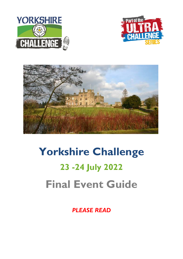





# **Yorkshire Challenge 23 -24 July 2022 Final Event Guide**

*PLEASE READ*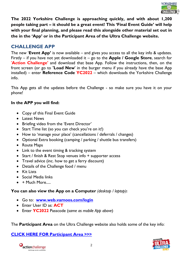

**The 2022 Yorkshire Challenge is approaching quickly, and with about 1,200 people taking part – it should be a great event! This 'Final Event Guide' will help with your final planning, and please read this alongside other material set out in the in the 'App' or in the Participant Area of the Ultra Challenge website.**

# **CHALLENGE APP**

The new '**Event App'** is now available – and gives you access to all the key info & updates. Firstly – if you have not yet downloaded it – go to the **Apple / Google Store**, search for '**Action Challenge'** and download that base App. Follow the instructions, then, on the front screen (or go to **'Load New**' in the burger menu if you already have the base App installed) – enter **Reference Code YC2022** – which downloads the Yorkshire Challenge info.

This App gets all the updates before the Challenge - so make sure you have it on your phone!

## **In the APP you will find:**

- Copy of this Final Event Guide
- **•** Latest News
- Briefing video from the 'Event Director'
- Start Time list (so you can check you're on it!)
- How to 'manage your place' (cancellations / deferrals / changes)
- Optional Extra booking (camping / parking / shuttle bus transfers)
- Route Maps
- Link to the event timing & tracking system
- Start / finish & Rest Stop venues info + supporter access
- Travel advice (inc. how to get a ferry discount)
- Details of the Challenge food / menu
- Kit Lists
- Social Media links
- $\bullet$  + Much More.....

# **You can also view the App on a Computer** *(desktop / laptop)***:**

- Go to: **[www.web.vamoos.com/login](http://www.web.vamoos.com/login)**
- Enter User ID as: **ACT**
- Enter **YC2022** Passcode (*same as mobile App above*)

The **Participant Area** on the Ultra Challenge website also holds some of the key info:

# **[CLICK HERE FOR Participant Area >>>](https://www.ultrachallenge.com/participant-area/yorkshire-challenge-participant-area/)**



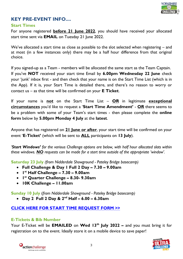

# **KEY PRE-EVENT INFO....**

#### **Start Times**

For anyone registered **before 21 June 2022**, you should have received your allocated start time sent via **EMAIL** on Tuesday 21 June 2022.

We've allocated a start time as close as possible to the slot selected when registering – and at most (in a few instances only) there may be a half hour difference from that original choice.

If you signed-up as a Team - members will be allocated the same start as the Team Captain. If you've **NOT** received your start time Email by **6.00pm Wednesday 22 June** check your 'junk' inbox first - and then check that your name is on the Start Time List (which is in the App). If it is, your Start Time is detailed there, and there's no reason to worry or contact us – as that time will be confirmed on your **E Ticket**.

If your name is **not** on the Start Time List – **OR** in legitimate **exceptional circumstances** you'd like to request a '**Start Time Amendment'** - **OR** there seems to be a problem with some of your Team's start times - then please complete the **online form** below by **5.00pm Monday 4 July** at the **latest**.

Anyone that has registered on **21 June or after**, your start time will be confirmed on your event '**E-Ticket'** (which will be sent to **ALL** participants on **13 July**).

*'Start Windows' for the various Challenge options are below, with half hour allocated slots within these windows. NO requests can be made for a start time outside of the appropriate 'window'.*

**Saturday 23 July** *(from Nidderdale Showground - Pateley Bridge basecamp)*

- **Full Challenge & Day 1 Full 2 Day – 7.30 – 9.00am**
- **1 st Half Challenge – 7.30 – 9.00am**
- **1 st Quarter Challenge – 8.30- 9.30am**
- **10K Challenge – 11.00am**

**Sunday 10 July** (*from Nidderdale Showground - Pateley Bridge basecamp)*

**Day 2 Full 2 Day & 2nd Half – 6.00 – 6.30am**

# **[CLICK HERE FOR START TIME REQUEST FORM](https://airtable.com/shrAN8AMedL8T5pEF) >>**

## **E-Tickets & Bib Number**

Your E-Ticket will be **EMAILED** on **Wed 13th July 2022 –** and you must bring it for registration on to the event. Ideally store it on a mobile device to save paper!



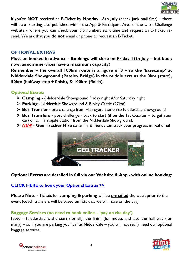

If you've **NOT** received an E-Ticket by **Monday 18th July** (check junk mail first) – there will be a 'Starting List' published within the App & Participant Area of the Ultra Challenge website - where you can check your bib number, start time and request an E-Ticket resend. We ask that you **do not** email or phone to request an E-Ticket.

# **OPTIONAL EXTRAS**

**Must be booked in advance - Bookings will close on Friday 15th July – but book now, as some services have a maximum capacity!**

**Remember – the overall 100km route is a figure of 8 – so the 'basecamp' at Nidderdale Showground (Pateley Bridge) in the middle acts as the 0km (start), 50km (halfway stop + finish), & 100km (finish).**

## **Optional Extras:**

- **Camping -** (Nidderdale Showground Friday night &/or Saturday night
- **Parking**  Nidderdale Showground & Ripley Castle (27km)
- **Bus Transfer -** pre challenge from Harrogate Station to Nidderdale Showground
- **Bus Transfers -** post challenge back to start (if on the 1st Quarter to get your car) or to Harrogate Station from the Nidderdale Showground.
- *NEW* **Geo Tracker Hire** so family & friends can track your progress in real time!



# **Optional Extras are detailed in full via our Website & App - with online booking:**

# **[CLICK HERE to book your Optional Extras >>](https://www.ultrachallenge.com/yorkshire-challenge/bookable-extras/)**

**Please Note -** Tickets for **camping & parking** will be **e-mailed** the week prior to the event (coach transfers will be based on lists that we will have on the day)

# **Baggage Services (no need to book online – 'pay on the day')**

Note – Nidderdale is the start (for all), the finish (for most), and also the half way (for many) – so if you are parking your car at Nidderdale – you will not really need our optional baggage services.



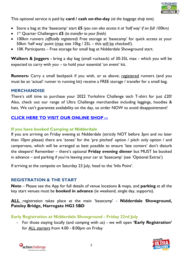

This optional service is paid by **card / cash on-the-day** *(at the baggage drop tent).*

- Store a bag at the 'basecamp' start **£5** *(you can also access it at 'half way' if on full 100km)*
- 1 st Quarter Challengers **£5** *(to transfer to your finish)*
- 100km runners *(officially registered)* Free storage at 'basecamp' for quick access at your 50km 'half way' point (max size 10kg / 25L – this will be checked!).
- 10K Participants Free storage for small bag at Nidderdale Showground start.

**Walkers & Joggers -** bring a day bag (small rucksack) of 30-35L max - which you will be expected to carry with you – to hold your essential 'on event' kit.

**Runners:** Carry a small backpack if you wish, or as above; registered runners (and you must be an 'actual' runner in running kit) receive a FREE storage / transfer for a small bag.

#### **MERCHANDISE**

There's still time to purchase your 2022 Yorkshire Challenge tech T-shirt for just £20! Also, check out our range of Ultra Challenge merchandise including leggings, hoodies & hats. We can't guarantee availability on the day, so order NOW to avoid disappointment!

## **[CLICK HERE TO VISIT OUR ONLINE SHOP](https://action-challenge-store.myshopify.com/?_ga=2.174027488.251636658.1556526362-347708532.1543833565) >>**

#### **If you have booked Camping at Nidderdale**

If you are arriving on Friday evening at Nidderdale (strictly NOT before 3pm and no later than 10pm please) there are 'zones' for the 'pre pitched' option / pitch only option / and campervans, which will be arranged as best possible to ensure 'late comers' don't disturb the sleepers! Remember – there's optional **Friday evening dinner** but MUST be booked in advance – and parking if you're leaving your car at 'basecamp' (see 'Optional Extras')

If arriving at the campsite on Saturday 23 July, head to the 'Info Point'.

## **REGISTRATION & THE START**

**Note** – Please see the App for full details of venue locations & maps, and **parking** at all the key start venues must be **booked in advance** (ie weekend, single day, supports).

**ALL** registration takes place at the main 'basecamp' - **Nidderdale Showground, Pateley Bridge, Harrogate HG3 5BD**

## **Early Registration at Nidderdale Showground - Friday 22rd July**

- For those staying locally (and camping with us) - we will open **'Early Registration'** for ALL starters from 4.00 - 8.00pm on Friday



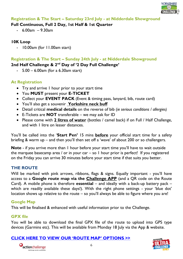

#### **Registration & The Start – Saturday 23rd July - at Nidderdale Showground**

#### **Full Continuous, Full 2 Day, 1st Half & 1st Quarter**

- 6.00am – 9.30am

#### **10K Loop**

- 10.00am (for 11.00am start)

## **Registration & The Start – Sunday 24th July - at Nidderdale Showground**

## **2nd Half Challenge & 2nd Day of '2 Day Full Challenge'**

- 5.00 – 6.00am (for a 6.30am start)

## **At Registration**

- Try and arrive I hour prior to your start time
- You **MUST** present your **E-TICKET**
- Collect your **EVENT PACK** (Event & timing pass, lanyard, bib, route card)
- You'll also get a souvenir **Yorkshire neck buff**
- Detail critical **medical details** on the reverse of bib (*ie serious conditions / allergies)*
- E-Tickets are **NOT** transferable we may ask for ID
- Please come with **2 litres of water** (bottles / camel back) if on Full / Half Challenge, and with 1 litre on lesser distances.

You'll be called into the '**Start Pen'** 15 mins **before** your official start time for a safety briefing & warm up – and then you'll then set off a 'wave' of about 200 or so challengers.

**Note** - if you arrive more than 1 hour before your start time you'll have to wait outside the marquee basecamp area / or in your car – so  $1$  hour prior is perfect! If you registered on the Friday you can arrive 30 minutes before your start time if that suits you better.

# **THE ROUTE**

Will be marked with pink arrows, ribbons, flags & signs. Equally important - you'll have access to a **Google route map via the Challenge APP** (and a QR code on the Route Card). A mobile phone is therefore **essential** – and ideally with a back-up battery pack – which are readily available these days!). With the right phone settings - your 'blue dot' location shows up relative to the route – so you'll always be able to figure where you are!

## **Google Map**

This will be finalised & enhanced with useful information prior to the Challenge.

## **GPX file**

You will be able to download the final GPX file of the route to upload into GPS type devices (Garmins etc). This will be available from Monday 18 July via the App & website.

# **[CLICK HERE TO VIEW OUR 'ROUTE MAP' OPTIONS >>](https://www.google.com/maps/d/edit?mid=1ffH9z7qyiIfyK7iIXLvpJfkqgH1xCvjh&ll=54.137902054215864%2C-1.9422632231150172&z=11)**



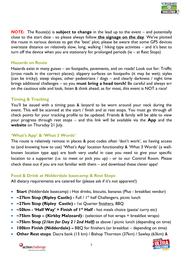

*NOTE***:** The Route(s) is **subject to change** in the lead up to the event – and potentially close to the start date - so please always follow **the signage on the day**. We've plotted the route in various devices to get the 'best' plot; please be aware that some GPS devices overstate distance on relatively slow, long, walking / hiking type activities – and it's best to turn off the device when you are stationary for prolonged periods (ie – at Rest Stops)

#### **Hazards on Route**

Hazards exist in many guises – on footpaths, pavements, and on roads! Look out for: Traffic (cross roads in the correct places); slippery surfaces on footpaths (it may be wet); styles (can be tricky); steep slopes; other pedestrians / dogs – and clearly darkness / night time brings additional challenges – so you **must bring a head torch!** Be careful and always err on the cautious side and look, listen & think ahead, as for most, this event is NOT a race!

#### **Timing & Tracking**

You'll be issued with a timing pass & lanyard to be worn around your neck during the event. This will be scanned at the start / finish and at rest stops. You must go through all check points for your tracking profile to be updated. Friends & family will be able to view your progress through rest stops – and this link will be available via the **App** and the **website** on Thursday 21 July.

#### **'What's App' & 'What 3 Words'**

The route is relatively remote in places & post codes often 'don't work', so having access to (and knowing how to use) 'What's App' location functionality & 'What 3 Words' (a wellknown location type app) are both very useful in case you need to give your specific location to a supporter (i.e. to meet or pick you up) - or to our Control Room. Please check these out if you are not familiar with them – and download these clever apps!

#### **Food & Drink at Nidderdale basecamp & Rest Stops**

All dietary requirements are catered for (please ask if it's not apparent!)

- **Start** (Nidderdale basecamp) **:** Hot drinks, biscuits, bananas (Plus breakfast vendor)
- ~27km Stop (Ripley Castle) Full / I<sup>st</sup> half Challengers, picnic lunch
- **~27km Stop (Ripley Castle) -** 1st Quarter finishers, BBQ
- ~50km 'Half Way' + Finish of I<sup>st</sup> Half hot meals choice (pasta/ curry etc)
- **~75km Stop – (Kirkby Malzeard)** (selection of hot wraps + breakfast wraps)
- **~75km Stop** *(21km for Day 2 / 2nd Half)* as above / picnic lunch (depending on time)
- **100km Finish (Nidderdale) –** BBQ for finishers (or breakfast depending on time)
- **Other Rest stops**: Dacra bank (13 km) / Bishop Thornton (37km) / Sawley (63km) &



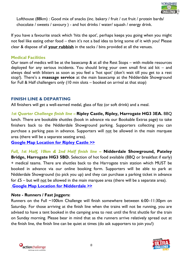

Lofthouse (88km) : Good mix of snacks (inc. bakery / fruit / cut fruit / protein bards/ chocolate / sweets / savoury ) - and hot drinks / water/ squash / energy drink.

If you have a favourite snack which 'hits the spot', perhaps keeps you going when you might not feel like eating other food – then it's not a bad idea to bring some of it with you! Please clear & dispose of all **your rubbish** in the sacks / bins provided at all the venues.

#### **Medical Facilities**

Our team of medics will be at the basecamp & at all the Rest Stops – with mobile resources deployed for any serious incidents. You should bring your own small first aid kit – and always deal with blisters as soon as you feel a 'hot spot' (don't wait till you get to a rest stop!). There's a **massage service** at the main basecamp at the Nidderdale Showground for Full & Half challengers only (10 min slots – booked on arrival at that stop)

#### **FINISH LINE & DEPARTING**

All finishers will get a well-earned medal, glass of fizz (or soft drink) and a meal.

*1st Quarter Challenge finish line –* **Ripley Castle, Ripley, Harrogate HG3 3EA.** BBQ lunch. There are bookable shuttles (book in advance via our Bookable Extras page) to take finishers back to the Nidderdale Showground parking. Supporters collecting you can purchase a parking pass in advance. Supporters will not be allowed in the main marquee area (there will be a separate seating area).

**[Google Map Location for Ripley Castle](https://www.google.com/maps/place/54%C2%B002) >>**

*Full, 1st Half, 10km & 2nd Half finish line –* **Nidderdale Showground, Pateley Bridge, Harrogate HG3 5BD***.* Selection of hot food available (BBQ or breakfast if early) + medical teams. There are shuttles back to the Harrogate train station which MUST be booked in advance via our online booking form. Supporters will be able to park at Nidderdale Showground (to pick you up) and they can purchase a parking ticket in advance for  $£5 -$  but will not be allowed in the main marquee area (there will be a separate area). **[Google Map Location for Nidderdale](https://www.google.com/maps/place/54%C2%B004) >>**

#### *Note* **- Runners / Fast Joggers:**

Runners on the Full ~100km Challenge will finish somewhere between 6:00–11:30pm on Saturday. For those arriving at the finish line when the trains will not be running, you are advised to have a tent booked in the camping area to rest until the first shuttle for the train on Sunday morning. Please bear in mind that as the runners arrive relatively spread out at the finish line, the finish line can be quiet at times (do ask supporters to join you!)



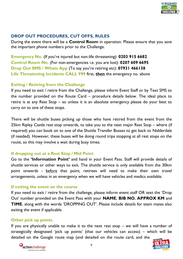

## **DROP OUT PROCEDURES, CUT OFFS, RULES**

During the event there will be a **Control Room** in operation. Please ensure that you save the important phone numbers prior to the Challenge.

**Emergency No.** (If you're injured but non-life threatening): **0203 915 6682 Control Room No.** (For non-emergencies i.e. you are lost): **0207 609 6695 Drop Out SMS / Whats App** (To say you're retiring etc): **07931 466138 Life Threatening Incidents CALL 999** first, **then** the emergency no. above

## **Exiting / Retiring from the Challenge**

If you need to exit / retire from the Challenge, please inform Event Staff or by Text SMS to the number provided on the Route Card – procedure details below. The ideal place to retire is at any Rest Stop – so unless it is an absolute emergency please do your best to carry on to one of these stops.

There will be shuttle buses picking up those who have retired from the event from the 25km Ripley Castle rest stop onwards, to take you to the next major Rest Stop – where (if required) you can book on to one of the Shuttle Transfer Busses to get back to Nidderdale (if needed). However, these buses will be doing round trips stopping at all rest stops on the route, so this may involve a wait during busy times.

## **If dropping out at a Rest Stop / Mid Point**

Go to the **'Information Point'** and hand in your Event Pass. Staff will provide details of shuttle services or other ways to exit. The shuttle service is only available from the 30km point onwards - before that point, retirees will need to make their own travel arrangements, unless in an emergency when we will have vehicles and medics available.

#### **If exiting the event on the course**

If you need to exit / retire from the challenge, please inform event staff OR text the 'Drop Out' number provided on the Event Pass with your **NAME**, **BIB NO. APPROX KM** and **TIME**, along with the words 'DROPPING OUT'. Please include details for team mates also exiting the event if applicable.

## **Other pick up points**

If you are physically unable to make it to the next rest stop  $-$  we will have a number of strategically designated 'pick up points' (that our vehicles can access) – which will be detailed on the Google route map (and detailed on the route card, and the



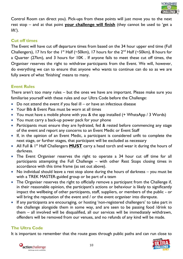

Control Room can direct you). Pick-ups from these points will just move you to the next rest stop – and at that point **your challenge will finish** (they cannot be used to 'get a lift').

## **Cut off times**

The Event will have cut off departure times from based on the 34 hour upper end time (Full Challengers), 17 hrs for the 1<sup>st</sup> Half (~50km), 17 hours for the  $2^{nd}$  Half (~50km), 8 hours for a Quarter (27km), and 3 hours for 10K . If anyone fails to meet these cut off times, the Organiser reserves the right to withdraw participants from the Event. We will, however, do everything we can to ensure that anyone who wants to continue can do so as we are fully aware of what 'finishing' means to many.

# **Event Rules**

There aren't too many rules – but the ones we have are important. Please make sure you familiarise yourself with these rules and our Ultra Code before the Challenge:

- $\bullet$  Do not attend the event if you feel ill or have an infectious disease
- Your Bib & Event Pass must be worn at all times
- You must have a mobile phone with you & the app installed (+ WhstsApp / 3 Words)
- You must carry a back-up power pack for your phone
- Participants must ensure they are hydrated, fed & rested before commencing any stage of the event and report any concerns to an Event Medic or Event Staff
- If, in the opinion of an Event Medic, a participant is considered unfit to complete the next stage, or further stages, that participant will be excluded as necessary
- All Full & 1<sup>st</sup> Half Challengers **MUST** carry a head torch and wear it during the hours of darkness.
- The Event Organiser reserves the right to operate a 34 hour cut off time for all participants attempting the Full Challenge – with other Rest Stops closing times in accordance with this time frame (as set out above).
- No individual should leave a rest stop alone during the hours of darkness you must be with a TREK MASTER-guided group or be part of a team
- The Organiser reserves the right to officially remove a participant from the Challenge if, in their reasonable opinion, the participant's actions or behaviour is likely to significantly impact the wellbeing of other participants, staff, suppliers, or members of the public - or will bring the reputation of the event and / or the event organiser into disrepute.
- If any participants are encouraging, or hosting 'non-registered challengers' to take part in the challenge alongside them in some way, and are seen to be passing food /drink to them – all involved will be disqualified, all our services will be immediately withdrawn, offenders will be removed from our venues, and no refunds of any kind will be made.

# **The Ultra Code**

It is important to remember that the route goes through public paths and can run close to

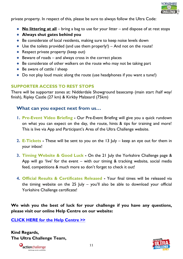

private property. In respect of this, please be sure to always follow the Ultra Code:

- **No littering at all** bring a bag to use for your litter and dispose of at rest stops
- **Always shut gates behind you**
- Be considerate of local residents, making sure to keep noise levels down
- $\bullet$  Use the toilets provided (and use them properly!) And not on the route!
- Respect private property (keep out)
- Beware of roads and always cross in the correct places
- Be considerate of other walkers on the route who may not be taking part
- $\bullet$  Be aware of cattle / sheep
- Do not play loud music along the route (use headphones if you want a tune!)

## **SUPPORTER ACCESS TO REST STOPS**

There will be supporter zones at: Nidderdale Showground basecamp (main start /half way/ finish), Ripley Castle (27 km) & Kirkby Malzeard (75km)

# **What can you expect next from us…**

- **1. Pre-Event Video Briefing -** Our Pre-Event Briefing will give you a quick rundown on what you can expect on the day, the route, hints & tips for training and more! This is live via App and Participant's Area of the Ultra Challenge website.
- **2. E-Tickets -** These will be sent to you on the 13 July keep an eye out for them in your inbox!
- **3. Timing Website & Good Luck -** On the 21 July the Yorkshire Challenge page & App will go 'live' for the event – with our timing  $\&$  tracking website, social media feed, competitions & much more so don't forget to check it out!
- **4. Official Results & Certificates Released -** Your final times will be released via the timing website on the 25 July – you'll also be able to download your official Yorkshire Challenge certificate!

**We wish you the best of luck for your challenge if you have any questions, please visit our online Help Centre on our website:**

**[CLICK HERE for the Help Centre >>](https://www.ultrachallenge.com/faqs/)**

**Kind Regards, The Ultra Challenge Team,**